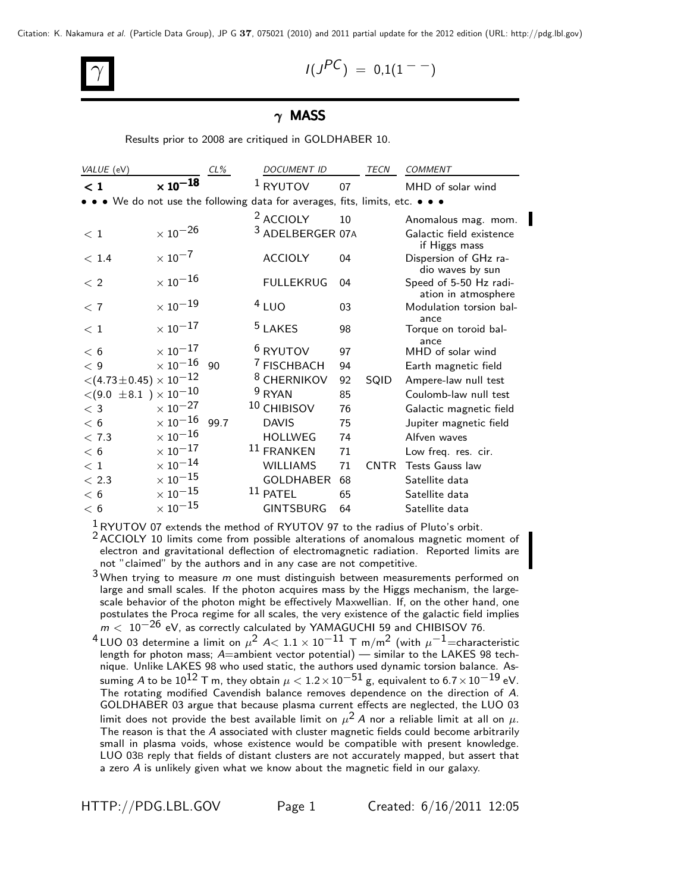Citation: K. Nakamura *et al.* (Particle Data Group), JP G **37**, 075021 (2010) and 2011 partial update for the 2012 edition (URL: http://pdg.lbl.gov)

 $I(J^{PC}) = 0.1(1^{--})$ 

## $\gamma$  MASS

Results prior to 2008 are critiqued in GOLDHABER 10.

| VALUE (eV)                                 |                            | $CL\%$ | <b>DOCUMENT ID</b>                                                            |    | TECN        | <b>COMMENT</b>                                |
|--------------------------------------------|----------------------------|--------|-------------------------------------------------------------------------------|----|-------------|-----------------------------------------------|
| $\lt 1$                                    | $\times$ 10 <sup>-18</sup> |        | $1$ RYUTOV                                                                    | 07 |             | MHD of solar wind                             |
|                                            |                            |        | • • • We do not use the following data for averages, fits, limits, etc. • • • |    |             |                                               |
|                                            |                            |        | <sup>2</sup> ACCIOLY                                                          | 10 |             | Anomalous mag. mom.                           |
| < 1                                        | $\times$ $10^{-26}$        |        | 3 ADELBERGER 07A                                                              |    |             | Galactic field existence<br>if Higgs mass     |
| < 1.4                                      | $\times$ 10 <sup>-7</sup>  |        | <b>ACCIOLY</b>                                                                | 04 |             | Dispersion of GHz ra-<br>dio waves by sun     |
| $\langle$ 2                                | $\times$ $10^{-16}$        |        | <b>FULLEKRUG</b>                                                              | 04 |             | Speed of 5-50 Hz radi-<br>ation in atmosphere |
| < 7                                        | $\times$ $10^{-19}$        |        | $4$ LUO                                                                       | 03 |             | Modulation torsion bal-                       |
| <~1                                        | $\times$ $10^{-17}$        |        | <sup>5</sup> LAKES                                                            | 98 |             | ance<br>Torque on toroid bal-<br>ance         |
| < 6                                        | $\times$ 10 $^{-17}$       |        | <sup>6</sup> RYUTOV                                                           | 97 |             | MHD of solar wind                             |
| < 9                                        | $\times$ 10 $^{-16}$       | 90     | <sup>7</sup> FISCHBACH                                                        | 94 |             | Earth magnetic field                          |
| $<$ (4.73 $\pm$ 0.45) $\times$ 10 $^{-12}$ |                            |        | <sup>8</sup> CHERNIKOV                                                        | 92 | SQID        | Ampere-law null test                          |
| $<(9.0\;\pm 8.1\;)\times 10^{-10}$         |                            |        | $9$ RYAN                                                                      | 85 |             | Coulomb-law null test                         |
| $<$ 3                                      | $\times$ 10 <sup>-27</sup> |        | 10 CHIBISOV                                                                   | 76 |             | Galactic magnetic field                       |
| < 6                                        | $\times$ $10^{-16}$        | 99.7   | <b>DAVIS</b>                                                                  | 75 |             | Jupiter magnetic field                        |
| < 7.3                                      | $\times$ $10^{-16}$        |        | <b>HOLLWEG</b>                                                                | 74 |             | Alfven waves                                  |
| < 6                                        | $\times$ 10 $^{-17}$       |        | 11 FRANKEN                                                                    | 71 |             | Low freg. res. cir.                           |
| < 1                                        | $\times$ $10^{-14}$        |        | <b>WILLIAMS</b>                                                               | 71 | <b>CNTR</b> | <b>Tests Gauss law</b>                        |
| < 2.3                                      | $\times$ $10^{-15}$        |        | <b>GOLDHABER</b>                                                              | 68 |             | Satellite data                                |
| < 6                                        | $\times$ $10^{-15}$        |        | <sup>11</sup> PATEL                                                           | 65 |             | Satellite data                                |
| < 6                                        | $\times$ $10^{-15}$        |        | <b>GINTSBURG</b>                                                              | 64 |             | Satellite data                                |

1RYUTOV 07 extends the method of RYUTOV 97 to the radius of Pluto's orbit.

 $2$  ACCIOLY 10 limits come from possible alterations of anomalous magnetic moment of electron and gravitational deflection of electromagnetic radiation. Reported limits are not "claimed" by the authors and in any case are not competitive.

3 When trying to measure *m* one must distinguish between measurements performed on large and small scales. If the photon acquires mass by the Higgs mechanism, the largescale behavior of the photon might be effectively Maxwellian. If, on the other hand, one postulates the Proca regime for all scales, the very existence of the galactic field implies *m* < 10<sup>-26</sup> eV, as correctly calculated by YAMAGUCHI 59 and CHIBISOV 76.

<sup>4</sup> LUO 03 determine a limit on  $\mu^2$  *A*<  $1.1 \times 10^{-11}$  T m/m<sup>2</sup> (with  $\mu^{-1}$ =characteristic length for photon mass; *A*=ambient vector potential) — similar to the LAKES 98 technique. Unlike LAKES 98 who used static, the authors used dynamic torsion balance. Assuming *A* to be  $10^{12}$  T m, they obtain  $\mu < 1.2 \times 10^{-51}$  g, equivalent to  $6.7 \times 10^{-19}$  eV. The rotating modified Cavendish balance removes dependence on the direction of *A*. GOLDHABER 03 argue that because plasma current effects are neglected, the LUO 03 limit does not provide the best available limit on  $\mu^2 A$  nor a reliable limit at all on  $\mu$ . The reason is that the *A* associated with cluster magnetic fields could become arbitrarily small in plasma voids, whose existence would be compatible with present knowledge. LUO 03B reply that fields of distant clusters are not accurately mapped, but assert that a zero *A* is unlikely given what we know about the magnetic field in our galaxy.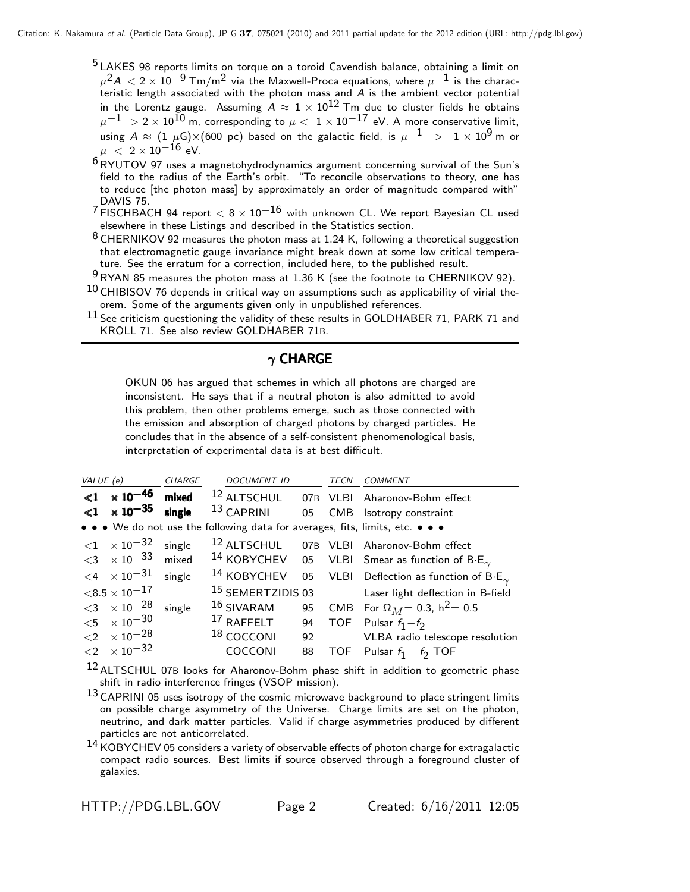- <sup>5</sup> LAKES 98 reports limits on torque on a toroid Cavendish balance, obtaining a limit on  $\mu^2 A < 2 \times 10^{-9}$  Tm/m<sup>2</sup> via the Maxwell-Proca equations, where  $\mu^{-1}$  is the characteristic length associated with the photon mass and *A* is the ambient vector potential in the Lorentz gauge. Assuming  $A \approx 1 \times 10^{12}$  Tm due to cluster fields he obtains  $\mu^{-1} > 2 \times 10^{10}$  m, corresponding to  $\mu < 1 \times 10^{-17}$  eV. A more conservative limit, using  $A \approx (1 \ \mu\text{G}) \times (600 \ \text{pc})$  based on the galactic field, is  $\mu^{-1}$  >  $1 \times 10^9$  m or  $\mu$  < 2 × 10<sup>-16</sup> eV.
- $6RVUTOV$  97 uses a magnetohydrodynamics argument concerning survival of the Sun's field to the radius of the Earth's orbit. "To reconcile observations to theory, one has to reduce [the photon mass] by approximately an order of magnitude compared with" DAVIS 75.
- $7$  FISCHBACH 94 report  $< 8 \times 10^{-16}$  with unknown CL. We report Bayesian CL used elsewhere in these Listings and described in the Statistics section.
- $8$  CHERNIKOV 92 measures the photon mass at 1.24 K, following a theoretical suggestion that electromagnetic gauge invariance might break down at some low critical temperature. See the erratum for a correction, included here, to the published result.
- $9$  RYAN 85 measures the photon mass at 1.36 K (see the footnote to CHERNIKOV 92).
- $^{10}$  CHIBISOV 76 depends in critical way on assumptions such as applicability of virial theorem. Some of the arguments given only in unpublished references.
- 11 See criticism questioning the validity of these results in GOLDHABER 71, PARK 71 and KROLL 71. See also review GOLDHABER 71B.

## $\gamma$  CHARGE

OKUN 06 has argued that schemes in which all photons are charged are inconsistent. He says that if a neutral photon is also admitted to avoid this problem, then other problems emerge, such as those connected with the emission and absorption of charged photons by charged particles. He concludes that in the absence of a self-consistent phenomenological basis, interpretation of experimental data is at best difficult.

| VALUE (e) |                                                    | CHARGE | DOCUMENT ID                                                                   |    | TECN | COMMENT                                                                                |
|-----------|----------------------------------------------------|--------|-------------------------------------------------------------------------------|----|------|----------------------------------------------------------------------------------------|
|           | $<$ 1 $\times$ 10 <sup>-46</sup>                   |        |                                                                               |    |      | mixed <sup>12</sup> ALTSCHUL 07B VLBI Aharonov-Bohm effect                             |
|           | $<$ 1 $\times$ 10 <sup>-35</sup>                   | single | $^{13}$ CAPRINI 05                                                            |    |      | CMB Isotropy constraint                                                                |
|           |                                                    |        | • • • We do not use the following data for averages, fits, limits, etc. • • • |    |      |                                                                                        |
|           | $\langle 1 \times 10^{-32} \text{ single} \rangle$ |        |                                                                               |    |      | 12 ALTSCHUL 07B VLBI Aharonov-Bohm effect                                              |
|           | $<$ 3 $\times$ 10 $^{-33}$ mixed                   |        |                                                                               |    |      | <sup>14</sup> KOBYCHEV 05 VLBI Smear as function of B·E <sub><math>\gamma</math></sub> |
|           | $\langle 4 \times 10^{-31} \text{ single} \rangle$ |        | $14$ KOBYCHEV                                                                 |    |      | 05 VLBI Deflection as function of $B \cdot E_{\gamma}$                                 |
|           | $<$ 8.5 $\times$ 10 $^{-17}$                       |        |                                                                               |    |      | <sup>15</sup> SEMERTZIDIS 03 Laser light deflection in B-field                         |
|           | $<$ 3 $\times$ 10 <sup>-28</sup> single            |        | $16$ SIVARAM                                                                  |    |      | 95 CMB For $\Omega_M = 0.3$ , $h^2 = 0.5$                                              |
|           | $<\!5$ $\phantom{00}\times10^{-30}$                |        | $17$ RAFFELT 94                                                               |    |      | TOF Pulsar $f_1 - f_2$                                                                 |
|           | $<$ 2 $\times10^{-28}$                             |        | <sup>18</sup> COCCONI                                                         |    |      | 92 VLBA radio telescope resolution                                                     |
|           | ${<}2 \times 10^{-32}$                             |        | <b>COCCONI</b>                                                                | 88 |      | TOF Pulsar $f_1 - f_2$ TOF                                                             |

<sup>12</sup> ALTSCHUL 07B looks for Aharonov-Bohm phase shift in addition to geometric phase shift in radio interference fringes (VSOP mission).

 $13$  CAPRINI 05 uses isotropy of the cosmic microwave background to place stringent limits on possible charge asymmetry of the Universe. Charge limits are set on the photon, neutrino, and dark matter particles. Valid if charge asymmetries produced by different particles are not anticorrelated.

<sup>14</sup> KOBYCHEV 05 considers a variety of observable effects of photon charge for extragalactic compact radio sources. Best limits if source observed through a foreground cluster of galaxies.

HTTP://PDG.LBL.GOV Page 2 Created: 6/16/2011 12:05